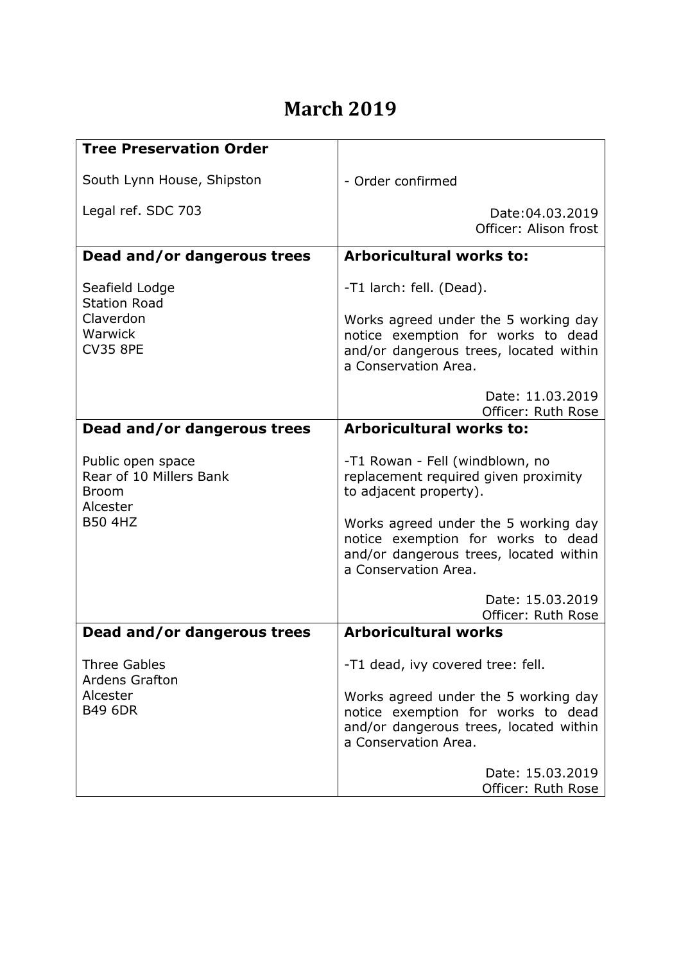## **March 2019**

| <b>Tree Preservation Order</b>                                                             |                                                                                                                                                                          |
|--------------------------------------------------------------------------------------------|--------------------------------------------------------------------------------------------------------------------------------------------------------------------------|
| South Lynn House, Shipston                                                                 | - Order confirmed                                                                                                                                                        |
| Legal ref. SDC 703                                                                         | Date: 04.03.2019<br>Officer: Alison frost                                                                                                                                |
| Dead and/or dangerous trees                                                                | <b>Arboricultural works to:</b>                                                                                                                                          |
| Seafield Lodge<br><b>Station Road</b><br>Claverdon<br>Warwick<br><b>CV35 8PE</b>           | -T1 larch: fell. (Dead).<br>Works agreed under the 5 working day<br>notice exemption for works to dead<br>and/or dangerous trees, located within<br>a Conservation Area. |
|                                                                                            | Date: 11.03.2019<br>Officer: Ruth Rose                                                                                                                                   |
| Dead and/or dangerous trees                                                                | <b>Arboricultural works to:</b>                                                                                                                                          |
| Public open space<br>Rear of 10 Millers Bank<br><b>Broom</b><br>Alcester<br><b>B50 4HZ</b> | -T1 Rowan - Fell (windblown, no<br>replacement required given proximity<br>to adjacent property).                                                                        |
|                                                                                            | Works agreed under the 5 working day<br>notice exemption for works to dead<br>and/or dangerous trees, located within<br>a Conservation Area.                             |
|                                                                                            | Date: 15.03.2019<br>Officer: Ruth Rose                                                                                                                                   |
| Dead and/or dangerous trees                                                                | <b>Arboricultural works</b>                                                                                                                                              |
| <b>Three Gables</b><br><b>Ardens Grafton</b>                                               | -T1 dead, ivy covered tree: fell.                                                                                                                                        |
| Alcester<br><b>B49 6DR</b>                                                                 | Works agreed under the 5 working day<br>notice exemption for works to dead<br>and/or dangerous trees, located within<br>a Conservation Area.                             |
|                                                                                            | Date: 15.03.2019<br>Officer: Ruth Rose                                                                                                                                   |